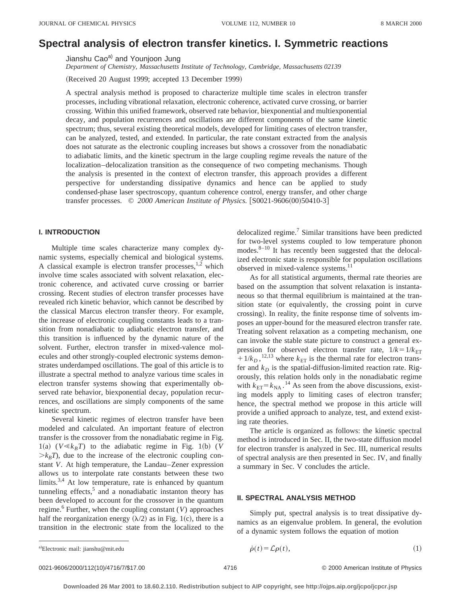# **Spectral analysis of electron transfer kinetics. I. Symmetric reactions**

Jianshu Cao<sup>a)</sup> and Younjoon Jung

*Department of Chemistry, Massachusetts Institute of Technology, Cambridge, Massachusetts 02139*

(Received 20 August 1999; accepted 13 December 1999)

A spectral analysis method is proposed to characterize multiple time scales in electron transfer processes, including vibrational relaxation, electronic coherence, activated curve crossing, or barrier crossing. Within this unified framework, observed rate behavior, biexponential and multiexponential decay, and population recurrences and oscillations are different components of the same kinetic spectrum; thus, several existing theoretical models, developed for limiting cases of electron transfer, can be analyzed, tested, and extended. In particular, the rate constant extracted from the analysis does not saturate as the electronic coupling increases but shows a crossover from the nonadiabatic to adiabatic limits, and the kinetic spectrum in the large coupling regime reveals the nature of the localization–delocalization transition as the consequence of two competing mechanisms. Though the analysis is presented in the context of electron transfer, this approach provides a different perspective for understanding dissipative dynamics and hence can be applied to study condensed-phase laser spectroscopy, quantum coherence control, energy transfer, and other charge transfer processes. © 2000 American Institute of Physics. [S0021-9606(00)50410-3]

# **I. INTRODUCTION**

Multiple time scales characterize many complex dynamic systems, especially chemical and biological systems. A classical example is electron transfer processes, $1,2$  which involve time scales associated with solvent relaxation, electronic coherence, and activated curve crossing or barrier crossing. Recent studies of electron transfer processes have revealed rich kinetic behavior, which cannot be described by the classical Marcus electron transfer theory. For example, the increase of electronic coupling constants leads to a transition from nonadiabatic to adiabatic electron transfer, and this transition is influenced by the dynamic nature of the solvent. Further, electron transfer in mixed-valence molecules and other strongly-coupled electronic systems demonstrates underdamped oscillations. The goal of this article is to illustrate a spectral method to analyze various time scales in electron transfer systems showing that experimentally observed rate behavior, biexponential decay, population recurrences, and oscillations are simply components of the same kinetic spectrum.

Several kinetic regimes of electron transfer have been modeled and calculated. An important feature of electron transfer is the crossover from the nonadiabatic regime in Fig.  $1(a)$  ( $V \ll k_B T$ ) to the adiabatic regime in Fig. 1(b) (*V*  $\geq k_B T$ ), due to the increase of the electronic coupling constant *V*. At high temperature, the Landau–Zener expression allows us to interpolate rate constants between these two limits.<sup>3,4</sup> At low temperature, rate is enhanced by quantum tunneling effects, $5$  and a nonadiabatic instanton theory has been developed to account for the crossover in the quantum regime.<sup>6</sup> Further, when the coupling constant  $(V)$  approaches half the reorganization energy  $(\lambda/2)$  as in Fig. 1(c), there is a transition in the electronic state from the localized to the delocalized regime.<sup>7</sup> Similar transitions have been predicted for two-level systems coupled to low temperature phonon modes. $8-10$  It has recently been suggested that the delocalized electronic state is responsible for population oscillations observed in mixed-valence systems.<sup>11</sup>

As for all statistical arguments, thermal rate theories are based on the assumption that solvent relaxation is instantaneous so that thermal equilibrium is maintained at the transition state (or equivalently, the crossing point in curve crossing). In reality, the finite response time of solvents imposes an upper-bound for the measured electron transfer rate. Treating solvent relaxation as a competing mechanism, one can invoke the stable state picture to construct a general expression for observed electron transfer rate,  $1/k = 1/k_{ET}$  $+1/k_D$ ,<sup>12,13</sup> where  $k_{ET}$  is the thermal rate for electron transfer and  $k_D$  is the spatial-diffusion-limited reaction rate. Rigorously, this relation holds only in the nonadiabatic regime with  $k_{\text{ET}} = k_{\text{NA}}$ .<sup>14</sup> As seen from the above discussions, existing models apply to limiting cases of electron transfer; hence, the spectral method we propose in this article will provide a unified approach to analyze, test, and extend existing rate theories.

The article is organized as follows: the kinetic spectral method is introduced in Sec. II, the two-state diffusion model for electron transfer is analyzed in Sec. III, numerical results of spectral analysis are then presented in Sec. IV, and finally a summary in Sec. V concludes the article.

### **II. SPECTRAL ANALYSIS METHOD**

Simply put, spectral analysis is to treat dissipative dynamics as an eigenvalue problem. In general, the evolution of a dynamic system follows the equation of motion

Electronic mail: jianshu@mit.edu

a) Electronic mail: jianshu@mit.edu 
$$
\dot{\rho}(t) = \mathcal{L}\rho(t), \qquad (1)
$$

0021-9606/2000/112(10)/4716/7/\$17.00 © 2000 American Institute of Physics 4716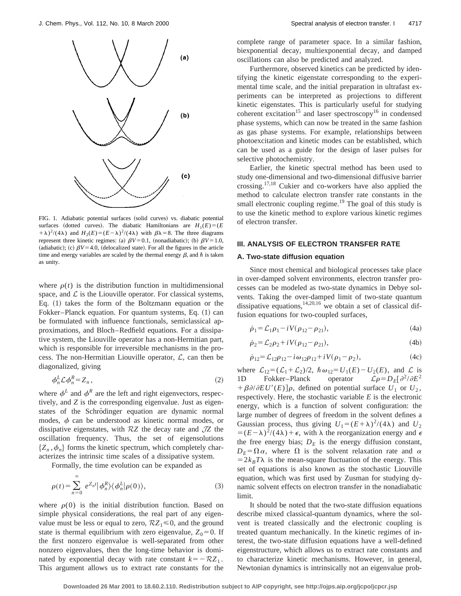

FIG. 1. Adiabatic potential surfaces (solid curves) vs. diabatic potential surfaces (dotted curves). The diabatic Hamiltonians are  $H_1(E) = (E$  $(\pm \lambda)^2/(4\lambda)$  and  $H_2(E) = (E - \lambda)^2/(4\lambda)$  with  $\beta \lambda = 8$ . The three diagrams represent three kinetic regimes: (a)  $\beta V = 0.1$ , (nonadiabatic); (b)  $\beta V = 1.0$ , (adiabatic); (c)  $\beta V = 4.0$ , (delocalized state). For all the figures in the article time and energy variables are scaled by the thermal energy  $\beta$ , and  $\hbar$  is taken as unity.

where  $\rho(t)$  is the distribution function in multidimensional space, and  $\mathcal L$  is the Liouville operator. For classical systems, Eq.  $(1)$  takes the form of the Boltzmann equation or the Fokker–Planck equation. For quantum systems, Eq.  $(1)$  can be formulated with influence functionals, semiclassical approximations, and Bloch–Redfield equations. For a dissipative system, the Liouville operator has a non-Hermitian part, which is responsible for irreversible mechanisms in the process. The non-Hermitian Liouville operator,  $\mathcal{L}$ , can then be diagonalized, giving

$$
\phi_n^L \mathcal{L} \phi_n^R = Z_n \,, \tag{2}
$$

where  $\phi^L$  and  $\phi^R$  are the left and right eigenvectors, respectively, and *Z* is the corresponding eigenvalue. Just as eigenstates of the Schrödinger equation are dynamic normal modes,  $\phi$  can be understood as kinetic normal modes, or dissipative eigenstates, with R*Z* the decay rate and J*Z* the oscillation frequency. Thus, the set of eigensolutions  ${Z_n, \phi_n}$  forms the kinetic spectrum, which completely characterizes the intrinsic time scales of a dissipative system.

Formally, the time evolution can be expanded as

$$
\rho(t) = \sum_{n=0}^{\infty} e^{Z_n t} |\phi_n^R\rangle\langle\phi_n^L|\rho(0)\rangle, \tag{3}
$$

where  $\rho(0)$  is the initial distribution function. Based on simple physical considerations, the real part of any eigenvalue must be less or equal to zero,  $RZ_1 \le 0$ , and the ground state is thermal equilibrium with zero eigenvalue,  $Z_0 = 0$ . If the first nonzero eigenvalue is well-separated from other nonzero eigenvalues, then the long-time behavior is dominated by exponential decay with rate constant  $k=-\mathcal{R}Z_1$ . This argument allows us to extract rate constants for the complete range of parameter space. In a similar fashion, biexponential decay, multiexponential decay, and damped oscillations can also be predicted and analyzed.

Furthermore, observed kinetics can be predicted by identifying the kinetic eigenstate corresponding to the experimental time scale, and the initial preparation in ultrafast experiments can be interpreted as projections to different kinetic eigenstates. This is particularly useful for studying coherent excitation<sup>15</sup> and laser spectroscopy<sup>16</sup> in condensed phase systems, which can now be treated in the same fashion as gas phase systems. For example, relationships between photoexcitation and kinetic modes can be established, which can be used as a guide for the design of laser pulses for selective photochemistry.

Earlier, the kinetic spectral method has been used to study one-dimensional and two-dimensional diffusive barrier crossing.17,18 Cukier and co-workers have also applied the method to calculate electron transfer rate constants in the small electronic coupling regime.<sup>19</sup> The goal of this study is to use the kinetic method to explore various kinetic regimes of electron transfer.

#### **III. ANALYSIS OF ELECTRON TRANSFER RATE**

# **A. Two-state diffusion equation**

Since most chemical and biological processes take place in over-damped solvent environments, electron transfer processes can be modeled as two-state dynamics in Debye solvents. Taking the over-damped limit of two-state quantum dissipative equations,  $14,20,16$  we obtain a set of classical diffusion equations for two-coupled surfaces,

$$
\dot{\rho}_1 = \mathcal{L}_1 \rho_1 - i V (\rho_{12} - \rho_{21}), \tag{4a}
$$

$$
\dot{\rho}_2 = \mathcal{L}_2 \rho_2 + i V (\rho_{12} - \rho_{21}),\tag{4b}
$$

$$
\dot{\rho}_{12} = \mathcal{L}_{12}\rho_{12} - i\omega_{12}\rho_{12} + iV(\rho_1 - \rho_2), \tag{4c}
$$

where  $\mathcal{L}_{12} = (\mathcal{L}_1 + \mathcal{L}_2)/2$ ,  $\hbar \omega_{12} = U_1(E) - U_2(E)$ , and  $\mathcal{L}$  is<br>1D Fokker-Planck operator  $\mathcal{L}\rho = D_E[\partial^2/\partial E^2]$  $\mathcal{L}\rho=D_E[\partial^2/\partial E^2]$  $+\beta\partial/\partial EU'(E)]\rho$ , defined on potential surface  $U_1$  or  $U_2$ , respectively. Here, the stochastic variable *E* is the electronic energy, which is a function of solvent configuration: the large number of degrees of freedom in the solvent defines a Gaussian process, thus giving  $U_1 = (E + \lambda)^2/(4\lambda)$  and  $U_2$  $=(E-\lambda)^2/(4\lambda)+\epsilon$ , with  $\lambda$  the reorganization energy and  $\epsilon$ the free energy bias;  $D<sub>E</sub>$  is the energy diffusion constant,  $D_E = \Omega \alpha$ , where  $\Omega$  is the solvent relaxation rate and  $\alpha$  $=2k_BT\lambda$  is the mean-square fluctuation of the energy. This set of equations is also known as the stochastic Liouville equation, which was first used by Zusman for studying dynamic solvent effects on electron transfer in the nonadiabatic limit.

It should be noted that the two-state diffusion equations describe mixed classical-quantum dynamics, where the solvent is treated classically and the electronic coupling is treated quantum mechanically. In the kinetic regimes of interest, the two-state diffusion equations have a well-defined eigenstructure, which allows us to extract rate constants and to characterize kinetic mechanisms. However, in general, Newtonian dynamics is intrinsically not an eigenvalue prob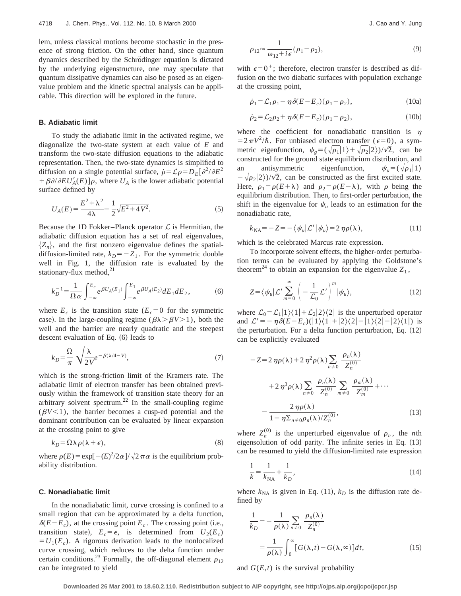lem, unless classical motions become stochastic in the presence of strong friction. On the other hand, since quantum dynamics described by the Schrödinger equation is dictated by the underlying eigenstructure, one may speculate that quantum dissipative dynamics can also be posed as an eigenvalue problem and the kinetic spectral analysis can be applicable. This direction will be explored in the future.

#### **B. Adiabatic limit**

To study the adiabatic limit in the activated regime, we diagonalize the two-state system at each value of *E* and transform the two-state diffusion equations to the adiabatic representation. Then, the two-state dynamics is simplified to diffusion on a single potential surface,  $\rho = \mathcal{L}\rho = D_E[\partial^2/\partial E^2]$  $+\beta\partial/\partial EU'_{A}(E)\right]$ , where  $U_{A}$  is the lower adiabatic potential surface defined by

$$
U_A(E) = \frac{E^2 + \lambda^2}{4\lambda} - \frac{1}{2}\sqrt{E^2 + 4V^2}.
$$
 (5)

Because the 1D Fokker–Planck operator  $\mathcal L$  is Hermitian, the adiabatic diffusion equation has a set of real eigenvalues,  ${Z_n}$ , and the first nonzero eigenvalue defines the spatialdiffusion-limited rate,  $k_D = -Z_1$ . For the symmetric double well in Fig. 1, the diffusion rate is evaluated by the stationary-flux method, $^{21}$ 

$$
k_D^{-1} = \frac{1}{\Omega \alpha} \int_{-\infty}^{E_c} e^{\beta U_A(E_1)} \int_{-\infty}^{E_1} e^{\beta U_A(E_2)} dE_1 dE_2, \tag{6}
$$

where  $E_c$  is the transition state  $(E_c=0$  for the symmetric case). In the large-coupling regime ( $\beta \lambda > \beta V > 1$ ), both the well and the barrier are nearly quadratic and the steepest descent evaluation of Eq.  $(6)$  leads to

$$
k_D = \frac{\Omega}{\pi} \sqrt{\frac{\lambda}{2V}} e^{-\beta(\lambda/4 - V)},\tag{7}
$$

which is the strong-friction limit of the Kramers rate. The adiabatic limit of electron transfer has been obtained previously within the framework of transition state theory for an arbitrary solvent spectrum.<sup>22</sup> In the small-coupling regime  $(\beta V<1)$ , the barrier becomes a cusp-ed potential and the dominant contribution can be evaluated by linear expansion at the crossing point to give

$$
k_D = \Omega \lambda \rho (\lambda + \epsilon), \tag{8}
$$

where  $\rho(E) = \exp[-(E)^2/2\alpha]/\sqrt{2\pi\alpha}$  is the equilibrium probability distribution.

#### **C. Nonadiabatic limit**

In the nonadiabatic limit, curve crossing is confined to a small region that can be approximated by a delta function,  $\delta(E-E_c)$ , at the crossing point  $E_c$ . The crossing point (i.e., transition state),  $E_c = \epsilon$ , is determined from  $U_2(E_c)$  $=U_1(E_c)$ . A rigorous derivation leads to the nonlocalized curve crossing, which reduces to the delta function under certain conditions.<sup>23</sup> Formally, the off-diagonal element  $\rho_{12}$ can be integrated to yield

$$
\rho_{12} \approx \frac{1}{\omega_{12} + i\epsilon} (\rho_1 - \rho_2),\tag{9}
$$

with  $\epsilon=0^+$ ; therefore, electron transfer is described as diffusion on the two diabatic surfaces with population exchange at the crossing point,

$$
\dot{\rho}_1 = \mathcal{L}_1 \rho_1 - \eta \delta (E - E_c) (\rho_1 - \rho_2), \qquad (10a)
$$

$$
\dot{\rho}_2 = \mathcal{L}_2 \rho_2 + \eta \delta (E - E_c)(\rho_1 - \rho_2),\tag{10b}
$$

where the coefficient for nonadiabatic transition is  $\eta$  $=2\pi V^2/\hbar$ . For unbiased electron transfer ( $\epsilon=0$ ), a symmetric eigenfunction,  $\psi_{\rho} = (\sqrt{\rho_1}|1\rangle + \sqrt{\rho_2}|2\rangle)/\sqrt{2}$ , can be constructed for the ground state equilibrium distribution, and an antisymmetric eigenfunction,  $\psi_{\mu} = (\sqrt{\rho_1}|1\rangle)$  $-\sqrt{\rho_2/2}$ )/ $\sqrt{2}$ , can be constructed as the first excited state. Here,  $\rho_1 = \rho(E + \lambda)$  and  $\rho_2 = \rho(E - \lambda)$ , with  $\rho$  being the equilibrium distribution. Then, to first-order perturbation, the shift in the eigenvalue for  $\psi_u$  leads to an estimation for the nonadiabatic rate,

$$
k_{\text{NA}} = -Z = -\langle \psi_u | \mathcal{L}' | \psi_u \rangle = 2 \eta \rho(\lambda), \tag{11}
$$

which is the celebrated Marcus rate expression.

To incorporate solvent effects, the higher-order perturbation terms can be evaluated by applying the Goldstone's theorem<sup>24</sup> to obtain an expansion for the eigenvalue  $Z_1$ ,

$$
Z = \langle \psi_u | \mathcal{L}' \sum_{m=0}^{\infty} \left( -\frac{1}{\mathcal{L}_0} \mathcal{L}' \right)^m | \psi_u \rangle, \tag{12}
$$

where  $\mathcal{L}_0 = \mathcal{L}_1|1\rangle\langle1|+\mathcal{L}_2|2\rangle\langle2|$  is the unperturbed operator and  $\mathcal{L}' = -\eta \delta(E - E_c)(1)\langle 1| + |2\rangle\langle 2| - |1\rangle\langle 2| - |2\rangle\langle 1|)$  is the perturbation. For a delta function perturbation, Eq.  $(12)$ can be explicitly evaluated

$$
-Z = 2 \eta \rho(\lambda) + 2 \eta^2 \rho(\lambda) \sum_{n \neq 0} \frac{\rho_n(\lambda)}{Z_n^{(0)}}
$$
  
+ 2 \eta^3 \rho(\lambda) \sum\_{n \neq 0} \frac{\rho\_n(\lambda)}{Z\_n^{(0)}} \sum\_{m \neq 0} \frac{\rho\_m(\lambda)}{Z\_m^{(0)}} + \cdots  
= \frac{2 \eta \rho(\lambda)}{1 - \eta \sum\_{n \neq 0} \rho\_n(\lambda) / Z\_n^{(0)}}, (13)

where  $Z_n^{(0)}$  is the unperturbed eigenvalue of  $\rho_n$ , the *n*th eigensolution of odd parity. The infinite series in Eq.  $(13)$ can be resumed to yield the diffusion-limited rate expression

$$
\frac{1}{k} = \frac{1}{k_{\text{NA}}} + \frac{1}{k_D},\tag{14}
$$

where  $k_{NA}$  is given in Eq. (11),  $k_D$  is the diffusion rate defined by

$$
\frac{1}{k_D} = -\frac{1}{\rho(\lambda)} \sum_{n \neq 0} \frac{\rho_n(\lambda)}{Z_n^{(0)}}
$$

$$
= \frac{1}{\rho(\lambda)} \int_0^\infty [G(\lambda, t) - G(\lambda, \infty)] dt,
$$
(15)

and  $G(E,t)$  is the survival probability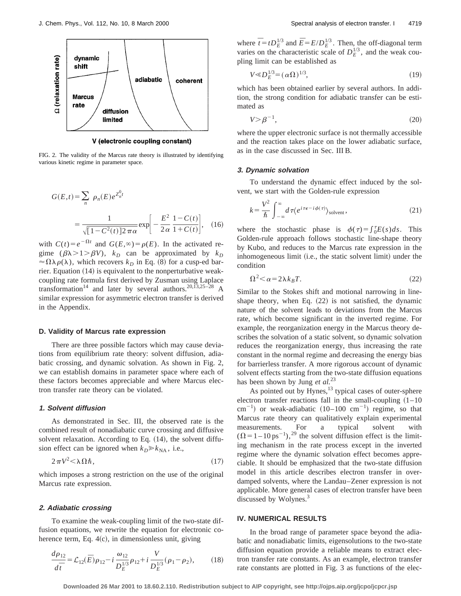

FIG. 2. The validity of the Marcus rate theory is illustrated by identifying various kinetic regime in parameter space.

$$
G(E,t) = \sum_{n} \rho_n(E) e^{Z_n^0 t}
$$
  
= 
$$
\frac{1}{\sqrt{[1 - C^2(t)] 2 \pi \alpha}} \exp\left[-\frac{E^2}{2\alpha} \frac{1 - C(t)}{1 + C(t)}\right], \quad (16)
$$

with  $C(t) = e^{-\Omega t}$  and  $G(E, \infty) = \rho(E)$ . In the activated regime  $(\beta \lambda > 1 > \beta V)$ ,  $k_D$  can be approximated by  $k_D$  $\approx \Omega \lambda \rho(\lambda)$ , which recovers  $k_D$  in Eq. (8) for a cusp-ed barrier. Equation  $(14)$  is equivalent to the nonperturbative weakcoupling rate formula first derived by Zusman using Laplace transformation<sup>14</sup> and later by several authors.<sup>20,13,25-28</sup> A similar expression for asymmetric electron transfer is derived in the Appendix.

#### **D. Validity of Marcus rate expression**

There are three possible factors which may cause deviations from equilibrium rate theory: solvent diffusion, adiabatic crossing, and dynamic solvation. As shown in Fig. 2, we can establish domains in parameter space where each of these factors becomes appreciable and where Marcus electron transfer rate theory can be violated.

#### **1. Solvent diffusion**

As demonstrated in Sec. III, the observed rate is the combined result of nonadiabatic curve crossing and diffusive solvent relaxation. According to Eq. (14), the solvent diffusion effect can be ignored when  $k_D \gg k_{\text{NA}}$ , i.e.,

$$
2\pi V^2 < \lambda \Omega \hbar, \tag{17}
$$

which imposes a strong restriction on the use of the original Marcus rate expression.

#### **2. Adiabatic crossing**

To examine the weak-coupling limit of the two-state diffusion equations, we rewrite the equation for electronic coherence term, Eq.  $4(c)$ , in dimensionless unit, giving

$$
\frac{d\rho_{12}}{d\bar{t}} = \mathcal{L}_{12}(\bar{E})\rho_{12} - i\frac{\omega_{12}}{D_E^{1/3}}\rho_{12} + i\frac{V}{D_E^{1/3}}(\rho_1 - \rho_2),\tag{18}
$$

where  $\bar{t} = t D_E^{1/3}$  and  $\bar{E} = E/D_E^{1/3}$ . Then, the off-diagonal term varies on the characteristic scale of  $D_E^{1/3}$ , and the weak coupling limit can be established as

$$
V \ll D_E^{1/3} = (\alpha \Omega)^{1/3},\tag{19}
$$

which has been obtained earlier by several authors. In addition, the strong condition for adiabatic transfer can be estimated as

$$
V > \beta^{-1},\tag{20}
$$

where the upper electronic surface is not thermally accessible and the reaction takes place on the lower adiabatic surface, as in the case discussed in Sec. III B.

#### **3. Dynamic solvation**

To understand the dynamic effect induced by the solvent, we start with the Golden-rule expression

$$
k = \frac{V^2}{\hbar} \int_{-\infty}^{\infty} d\tau \langle e^{i\tau \epsilon - i\phi(\tau)} \rangle_{\text{solvent}},
$$
 (21)

where the stochastic phase is  $\phi(\tau) = \int_0^{\tau} E(s) ds$ . This Golden-rule approach follows stochastic line-shape theory by Kubo, and reduces to the Marcus rate expression in the inhomogeneous limit (i.e., the static solvent limit) under the condition

$$
\Omega^2 < \alpha = 2\lambda k_B T. \tag{22}
$$

Similar to the Stokes shift and motional narrowing in lineshape theory, when Eq.  $(22)$  is not satisfied, the dynamic nature of the solvent leads to deviations from the Marcus rate, which become significant in the inverted regime. For example, the reorganization energy in the Marcus theory describes the solvation of a static solvent, so dynamic solvation reduces the reorganization energy, thus increasing the rate constant in the normal regime and decreasing the energy bias for barrierless transfer. A more rigorous account of dynamic solvent effects starting from the two-state diffusion equations has been shown by Jung *et al.*<sup>23</sup>

As pointed out by Hynes,<sup>13</sup> typical cases of outer-sphere electron transfer reactions fall in the small-coupling  $(1-10$  $\text{cm}^{-1}$ ) or weak-adiabatic (10–100 cm<sup>-1</sup>) regime, so that Marcus rate theory can qualitatively explain experimental measurements. For a typical solvent with  $(\Omega = 1 - 10 \text{ ps}^{-1})$ ,<sup>29</sup> the solvent diffusion effect is the limiting mechanism in the rate process except in the inverted regime where the dynamic solvation effect becomes appreciable. It should be emphasized that the two-state diffusion model in this article describes electron transfer in overdamped solvents, where the Landau–Zener expression is not applicable. More general cases of electron transfer have been discussed by Wolynes.<sup>3</sup>

#### **IV. NUMERICAL RESULTS**

In the broad range of parameter space beyond the adiabatic and nonadiabatic limits, eigensolutions to the two-state diffusion equation provide a reliable means to extract electron transfer rate constants. As an example, electron transfer rate constants are plotted in Fig. 3 as functions of the elec-

**Downloaded 26 Mar 2001 to 18.60.2.110. Redistribution subject to AIP copyright, see http://ojps.aip.org/jcpo/jcpcr.jsp**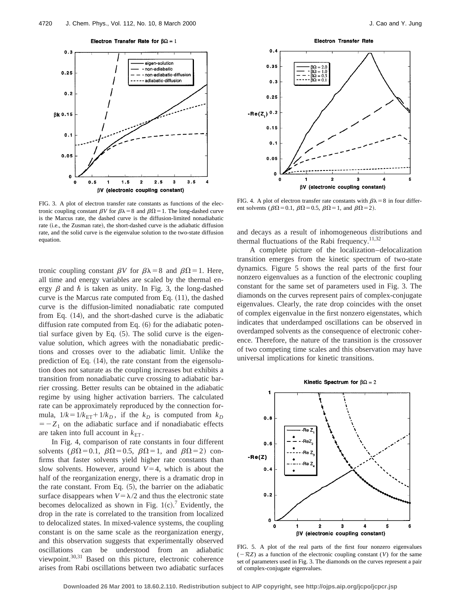

FIG. 3. A plot of electron transfer rate constants as functions of the electronic coupling constant  $\beta V$  for  $\beta \lambda = 8$  and  $\beta \Omega = 1$ . The long-dashed curve is the Marcus rate, the dashed curve is the diffusion-limited nonadiabatic rate (*i.e.*, the Zusman rate), the short-dashed curve is the adiabatic diffusion rate, and the solid curve is the eigenvalue solution to the two-state diffusion equation.

tronic coupling constant  $\beta V$  for  $\beta \lambda = 8$  and  $\beta \Omega = 1$ . Here, all time and energy variables are scaled by the thermal energy  $\beta$  and  $\hbar$  is taken as unity. In Fig. 3, the long-dashed curve is the Marcus rate computed from Eq.  $(11)$ , the dashed curve is the diffusion-limited nonadiabatic rate computed from Eq.  $(14)$ , and the short-dashed curve is the adiabatic diffusion rate computed from Eq.  $(6)$  for the adiabatic potential surface given by Eq.  $(5)$ . The solid curve is the eigenvalue solution, which agrees with the nonadiabatic predictions and crosses over to the adiabatic limit. Unlike the prediction of Eq.  $(14)$ , the rate constant from the eigensolution does not saturate as the coupling increases but exhibits a transition from nonadiabatic curve crossing to adiabatic barrier crossing. Better results can be obtained in the adiabatic regime by using higher activation barriers. The calculated rate can be approximately reproduced by the connection formula,  $1/k = 1/k_{ET} + 1/k_D$ , if the  $k_D$  is computed from  $k_D$  $= -Z_1$  on the adiabatic surface and if nonadiabatic effects are taken into full account in  $k_{ET}$ .

In Fig. 4, comparison of rate constants in four different solvents ( $\beta \Omega = 0.1$ ,  $\beta \Omega = 0.5$ ,  $\beta \Omega = 1$ , and  $\beta \Omega = 2$ ) confirms that faster solvents yield higher rate constants than slow solvents. However, around  $V=4$ , which is about the half of the reorganization energy, there is a dramatic drop in the rate constant. From Eq.  $(5)$ , the barrier on the adiabatic surface disappears when  $V = \lambda/2$  and thus the electronic state becomes delocalized as shown in Fig. 1(c).<sup>7</sup> Evidently, the drop in the rate is correlated to the transition from localized to delocalized states. In mixed-valence systems, the coupling constant is on the same scale as the reorganization energy, and this observation suggests that experimentally observed oscillations can be understood from an adiabatic viewpoint.30,31 Based on this picture, electronic coherence arises from Rabi oscillations between two adiabatic surfaces



FIG. 4. A plot of electron transfer rate constants with  $\beta \lambda = 8$  in four different solvents ( $\beta \Omega = 0.1$ ,  $\beta \Omega = 0.5$ ,  $\beta \Omega = 1$ , and  $\beta \Omega = 2$ ).

and decays as a result of inhomogeneous distributions and thermal fluctuations of the Rabi frequency. $11,32$ 

A complete picture of the localization–delocalization transition emerges from the kinetic spectrum of two-state dynamics. Figure 5 shows the real parts of the first four nonzero eigenvalues as a function of the electronic coupling constant for the same set of parameters used in Fig. 3. The diamonds on the curves represent pairs of complex-conjugate eigenvalues. Clearly, the rate drop coincides with the onset of complex eigenvalue in the first nonzero eigenstates, which indicates that underdamped oscillations can be observed in overdamped solvents as the consequence of electronic coherence. Therefore, the nature of the transition is the crossover of two competing time scales and this observation may have universal implications for kinetic transitions.



FIG. 5. A plot of the real parts of the first four nonzero eigenvalues  $(-RZ)$  as a function of the electronic coupling constant (*V*) for the same set of parameters used in Fig. 3. The diamonds on the curves represent a pair of complex-conjugate eigenvalues.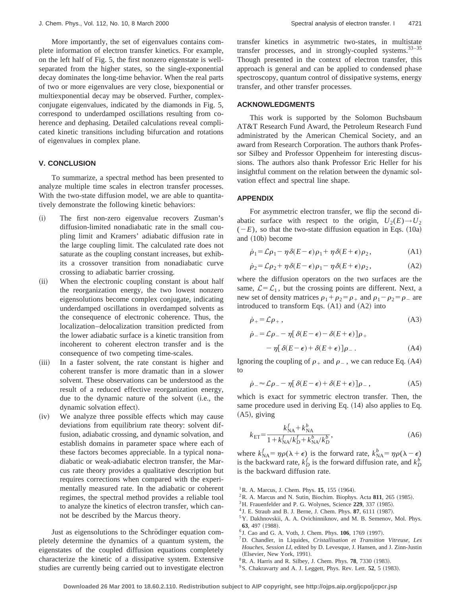More importantly, the set of eigenvalues contains complete information of electron transfer kinetics. For example, on the left half of Fig. 5, the first nonzero eigenstate is wellseparated from the higher states, so the single-exponential decay dominates the long-time behavior. When the real parts of two or more eigenvalues are very close, biexponential or multiexponential decay may be observed. Further, complexconjugate eigenvalues, indicated by the diamonds in Fig. 5, correspond to underdamped oscillations resulting from coherence and dephasing. Detailed calculations reveal complicated kinetic transitions including bifurcation and rotations of eigenvalues in complex plane.

# **V. CONCLUSION**

To summarize, a spectral method has been presented to analyze multiple time scales in electron transfer processes. With the two-state diffusion model, we are able to quantitatively demonstrate the following kinetic behaviors:

- ~i! The first non-zero eigenvalue recovers Zusman's diffusion-limited nonadiabatic rate in the small coupling limit and Kramers' adiabatic diffusion rate in the large coupling limit. The calculated rate does not saturate as the coupling constant increases, but exhibits a crossover transition from nonadiabatic curve crossing to adiabatic barrier crossing.
- (ii) When the electronic coupling constant is about half the reorganization energy, the two lowest nonzero eigensolutions become complex conjugate, indicating underdamped oscillations in overdamped solvents as the consequence of electronic coherence. Thus, the localization–delocalization transition predicted from the lower adiabatic surface is a kinetic transition from incoherent to coherent electron transfer and is the consequence of two competing time-scales.
- (iii) In a faster solvent, the rate constant is higher and coherent transfer is more dramatic than in a slower solvent. These observations can be understood as the result of a reduced effective reorganization energy, due to the dynamic nature of the solvent (i.e., the dynamic solvation effect).
- (iv) We analyze three possible effects which may cause deviations from equilibrium rate theory: solvent diffusion, adiabatic crossing, and dynamic solvation, and establish domains in parameter space where each of these factors becomes appreciable. In a typical nonadiabatic or weak-adiabatic electron transfer, the Marcus rate theory provides a qualitative description but requires corrections when compared with the experimentally measured rate. In the adiabatic or coherent regimes, the spectral method provides a reliable tool to analyze the kinetics of electron transfer, which cannot be described by the Marcus theory.

Just as eigensolutions to the Schrödinger equation completely determine the dynamics of a quantum system, the eigenstates of the coupled diffusion equations completely characterize the kinetic of a dissipative system. Extensive studies are currently being carried out to investigate electron transfer kinetics in asymmetric two-states, in multistate transfer processes, and in strongly-coupled systems.33–35 Though presented in the context of electron transfer, this approach is general and can be applied to condensed phase spectroscopy, quantum control of dissipative systems, energy transfer, and other transfer processes.

# **ACKNOWLEDGMENTS**

This work is supported by the Solomon Buchsbaum AT&T Research Fund Award, the Petroleum Research Fund administrated by the American Chemical Society, and an award from Research Corporation. The authors thank Professor Silbey and Professor Oppenheim for interesting discussions. The authors also thank Professor Eric Heller for his insightful comment on the relation between the dynamic solvation effect and spectral line shape.

#### **APPENDIX**

For asymmetric electron transfer, we flip the second diabatic surface with respect to the origin,  $U_2(E) \rightarrow U_2$  $(-E)$ , so that the two-state diffusion equation in Eqs.  $(10a)$ and  $(10b)$  become

$$
\dot{\rho}_1 = \mathcal{L}\rho_1 - \eta \delta(E - \epsilon)\rho_1 + \eta \delta(E + \epsilon)\rho_2, \tag{A1}
$$

$$
\dot{\rho}_2 = \mathcal{L}\rho_2 + \eta \delta(E - \epsilon)\rho_1 - \eta \delta(E + \epsilon)\rho_2, \tag{A2}
$$

where the diffusion operators on the two surfaces are the same,  $\mathcal{L} = \mathcal{L}_1$ , but the crossing points are different. Next, a new set of density matrices  $\rho_1 + \rho_2 = \rho_+$  and  $\rho_1 - \rho_2 = \rho_-$  are introduced to transform Eqs.  $(A1)$  and  $(A2)$  into

$$
\dot{\rho}_+ = \mathcal{L}\rho_+ \,, \tag{A3}
$$

$$
\dot{\rho}_{-} = \mathcal{L}\rho_{-} - \eta [\delta(E - \epsilon) - \delta(E + \epsilon)]\rho_{+}
$$

$$
- \eta [\delta(E - \epsilon) + \delta(E + \epsilon)]\rho_{-}.
$$
 (A4)

Ignoring the coupling of  $\rho_+$  and  $\rho_-$ , we can reduce Eq. (A4) to

$$
\dot{\rho}_{-} \approx \mathcal{L}\rho_{-} - \eta [\delta(E - \epsilon) + \delta(E + \epsilon)]\rho_{-}, \tag{A5}
$$

which is exact for symmetric electron transfer. Then, the same procedure used in deriving Eq.  $(14)$  also applies to Eq.  $(A5)$ , giving

$$
k_{\rm ET} = \frac{k_{\rm NA}^f + k_{\rm NA}^b}{1 + k_{\rm NA}^f / k_D^f + k_{\rm NA}^b / k_D^b},\tag{A6}
$$

where  $k_{\text{NA}}^f = \eta \rho(\lambda + \epsilon)$  is the forward rate,  $k_{\text{NA}}^b = \eta \rho(\lambda - \epsilon)$ is the backward rate,  $k_D^f$  is the forward diffusion rate, and  $k_D^b$ is the backward diffusion rate.

- <sup>1</sup> R. A. Marcus, J. Chem. Phys. **15**, 155  $(1964)$ .
- $2R$ . A. Marcus and N. Sutin, Biochim. Biophys. Acta 811, 265 (1985).
- <sup>3</sup>H. Frauenfelder and P. G. Wolynes, Science 229, 337 (1985).
- $4$  J. E. Straub and B. J. Berne, J. Chem. Phys.  $87,$  6111 (1987).
- 5Y. Dakhnovskii, A. A. Ovichinniknov, and M. B. Semenov, Mol. Phys. **63.** 497 (1988).
- <sup>6</sup> J. Cao and G. A. Voth, J. Chem. Phys. **106**, 1769 (1997).
- 7D. Chandler, in Liquides, *Cristallisation et Transition Vitreuse, Les Houches, Session LI*, edited by D. Levesque, J. Hansen, and J. Zinn-Justin (Elsevier, New York, 1991).
- <sup>8</sup> R. A. Harris and R. Silbey, J. Chem. Phys. **78**, 7330 (1983).
- $9^9$ S. Chakravarty and A. J. Leggett, Phys. Rev. Lett.  $52$ , 5 (1983).